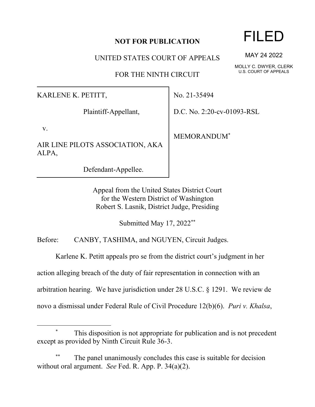## **NOT FOR PUBLICATION**

UNITED STATES COURT OF APPEALS

FOR THE NINTH CIRCUIT

KARLENE K. PETITT,

Plaintiff-Appellant,

v.

AIR LINE PILOTS ASSOCIATION, AKA ALPA,

Defendant-Appellee.

No. 21-35494

D.C. No. 2:20-cv-01093-RSL

MEMORANDUM\*

Appeal from the United States District Court for the Western District of Washington Robert S. Lasnik, District Judge, Presiding

Submitted May 17, 2022\*\*

Before: CANBY, TASHIMA, and NGUYEN, Circuit Judges.

Karlene K. Petitt appeals pro se from the district court's judgment in her

action alleging breach of the duty of fair representation in connection with an

arbitration hearing. We have jurisdiction under 28 U.S.C. § 1291. We review de

novo a dismissal under Federal Rule of Civil Procedure 12(b)(6). *Puri v. Khalsa*,

## FILED

MAY 24 2022

MOLLY C. DWYER, CLERK U.S. COURT OF APPEALS

This disposition is not appropriate for publication and is not precedent except as provided by Ninth Circuit Rule 36-3.

The panel unanimously concludes this case is suitable for decision without oral argument. *See* Fed. R. App. P. 34(a)(2).